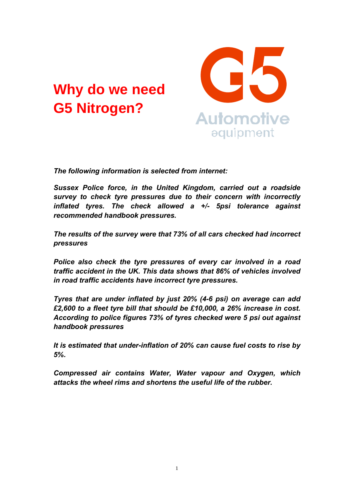# **Why do we need G5 Nitrogen?**



*The following information is selected from internet:* 

*Sussex Police force, in the United Kingdom, carried out a roadside survey to check tyre pressures due to their concern with incorrectly inflated tyres. The check allowed a +/- 5psi tolerance against recommended handbook pressures.* 

*The results of the survey were that 73% of all cars checked had incorrect pressures* 

*Police also check the tyre pressures of every car involved in a road traffic accident in the UK. This data shows that 86% of vehicles involved in road traffic accidents have incorrect tyre pressures.* 

*Tyres that are under inflated by just 20% (4-6 psi) on average can add £2,600 to a fleet tyre bill that should be £10,000, a 26% increase in cost. According to police figures 73% of tyres checked were 5 psi out against handbook pressures* 

*It is estimated that under-inflation of 20% can cause fuel costs to rise by 5%.* 

*Compressed air contains Water, Water vapour and Oxygen, which attacks the wheel rims and shortens the useful life of the rubber.*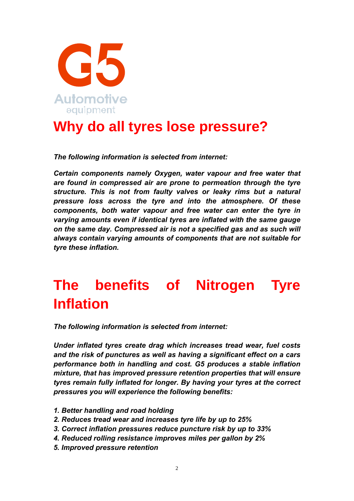

### **Why do all tyres lose pressure?**

*The following information is selected from internet:* 

*Certain components namely Oxygen, water vapour and free water that are found in compressed air are prone to permeation through the tyre structure. This is not from faulty valves or leaky rims but a natural pressure loss across the tyre and into the atmosphere. Of these components, both water vapour and free water can enter the tyre in varying amounts even if identical tyres are inflated with the same gauge on the same day. Compressed air is not a specified gas and as such will always contain varying amounts of components that are not suitable for tyre these inflation.* 

# **The benefits of Nitrogen Tyre Inflation**

*The following information is selected from internet:* 

*Under inflated tyres create drag which increases tread wear, fuel costs and the risk of punctures as well as having a significant effect on a cars performance both in handling and cost. G5 produces a stable inflation mixture, that has improved pressure retention properties that will ensure tyres remain fully inflated for longer. By having your tyres at the correct pressures you will experience the following benefits:* 

- *1. Better handling and road holding*
- *2. Reduces tread wear and increases tyre life by up to 25%*
- *3. Correct inflation pressures reduce puncture risk by up to 33%*
- *4. Reduced rolling resistance improves miles per gallon by 2%*
- *5. Improved pressure retention*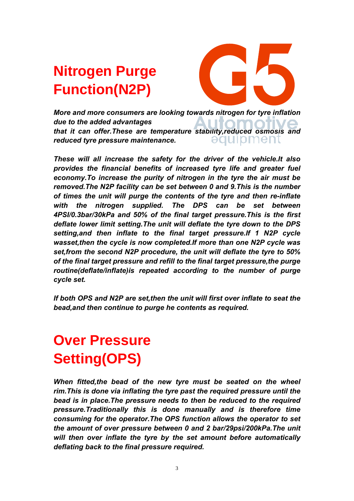# **Nitrogen Purge Function(N2P)**



*More and more consumers are looking towards nitrogen for tyre inflation due to the added advantages that it can offer.These are temperature stability,reduced osmosis and*  əquipment *reduced tyre pressure maintenance.* 

*These will all increase the safety for the driver of the vehicle.It also provides the financial benefits of increased tyre life and greater fuel economy.To increase the purity of nitrogen in the tyre the air must be removed.The N2P facility can be set between 0 and 9.This is the number of times the unit will purge the contents of the tyre and then re-inflate with the nitrogen supplied. The DPS can be set between 4PSI/0.3bar/30kPa and 50% of the final target pressure.This is the first deflate lower limit setting.The unit will deflate the tyre down to the DPS setting,and then inflate to the final target pressure.If 1 N2P cycle wasset,then the cycle is now completed.If more than one N2P cycle was set,from the second N2P procedure, the unit will deflate the tyre to 50% of the final target pressure and refill to the final target pressure,the purge routine(deflate/inflate)is repeated according to the number of purge cycle set.* 

*If both OPS and N2P are set,then the unit will first over inflate to seat the bead,and then continue to purge he contents as required.* 

# **Over Pressure Setting(OPS)**

*When fitted, the bead of the new tyre must be seated on the wheel rim.This is done via inflating the tyre past the required pressure until the bead is in place.The pressure needs to then be reduced to the required pressure.Traditionally this is done manually and is therefore time consuming for the operator.The OPS function allows the operator to set the amount of over pressure between 0 and 2 bar/29psi/200kPa.The unit will then over inflate the tyre by the set amount before automatically deflating back to the final pressure required.*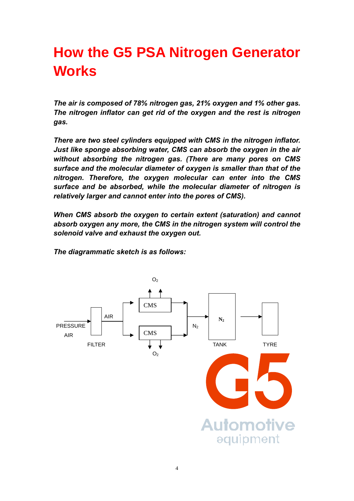## **How the G5 PSA Nitrogen Generator Works**

*The air is composed of 78% nitrogen gas, 21% oxygen and 1% other gas. The nitrogen inflator can get rid of the oxygen and the rest is nitrogen gas.* 

*There are two steel cylinders equipped with CMS in the nitrogen inflator. Just like sponge absorbing water, CMS can absorb the oxygen in the air without absorbing the nitrogen gas. (There are many pores on CMS surface and the molecular diameter of oxygen is smaller than that of the nitrogen. Therefore, the oxygen molecular can enter into the CMS surface and be absorbed, while the molecular diameter of nitrogen is relatively larger and cannot enter into the pores of CMS).* 

*When CMS absorb the oxygen to certain extent (saturation) and cannot absorb oxygen any more, the CMS in the nitrogen system will control the solenoid valve and exhaust the oxygen out.* 

*The diagrammatic sketch is as follows:* 

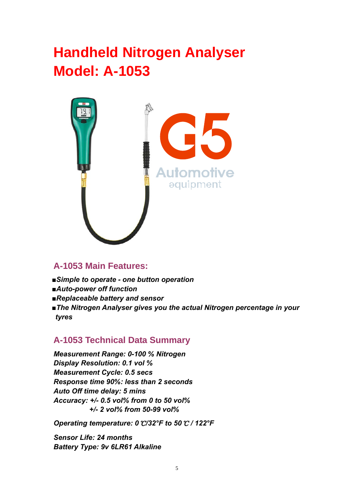### **Handheld Nitrogen Analyser Model: A-1053**



#### **A-1053 Main Features:**

- *■Simple to operate one button operation*
- *■Auto-power off function*
- *■Replaceable battery and sensor*
- *■The Nitrogen Analyser gives you the actual Nitrogen percentage in your tyres*

#### **A-1053 Technical Data Summary**

*Measurement Range: 0-100 % Nitrogen Display Resolution: 0.1 vol % Measurement Cycle: 0.5 secs Response time 90%: less than 2 seconds Auto Off time delay: 5 mins Accuracy: +/- 0.5 vol% from 0 to 50 vol% +/- 2 vol% from 50-99 vol%* 

*Operating temperature: 0*℃*/32°F to 50*℃ */ 122°F* 

*Sensor Life: 24 months Battery Type: 9v 6LR61 Alkaline*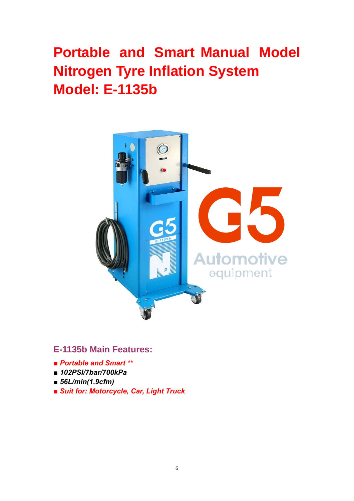# **Portable and Smart Manual Model Nitrogen Tyre Inflation System Model: E-1135b**



### **E-1135b Main Features:**

- *■ Portable and Smart \*\**
- *■ 102PSI/7bar/700kPa*
- *■ 56L/min(1.9cfm)*
- *■ Suit for: Motorcycle, Car, Light Truck*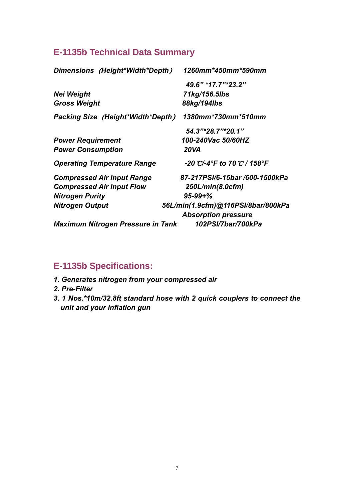### **E-1135b Technical Data Summary**

| Dimensions (Height*Width*Depth)          | 1260mm*450mm*590mm                                               |
|------------------------------------------|------------------------------------------------------------------|
|                                          | 49.6" *17.7"*23.2"                                               |
| <b>Nei Weight</b>                        | 71kg/156.5lbs                                                    |
| <b>Gross Weight</b>                      | 88kg/194lbs                                                      |
| <b>Packing Size (Height*Width*Depth)</b> | 1380mm*730mm*510mm                                               |
|                                          | 54.3"*28.7"*20.1"                                                |
| <b>Power Requirement</b>                 | 100-240Vac 50/60HZ                                               |
| <b>Power Consumption</b>                 | 20VA                                                             |
| <b>Operating Temperature Range</b>       | -20 °C/-4°F to 70 °C / 158°F                                     |
| <b>Compressed Air Input Range</b>        | 87-217PSI/6-15bar /600-1500kPa                                   |
| <b>Compressed Air Input Flow</b>         | $250$ L/min(8.0cfm)                                              |
| <b>Nitrogen Purity</b>                   | $95 - 99 + \%$                                                   |
| <b>Nitrogen Output</b>                   | 56L/min(1.9cfm)@116PSI/8bar/800kPa<br><b>Absorption pressure</b> |
| <b>Maximum Nitrogen Pressure in Tank</b> | 102PSI/7bar/700kPa                                               |

### **E-1135b Specifications:**

- *1. Generates nitrogen from your compressed air*
- *2. Pre-Filter*
- *3. 1 Nos.\*10m/32.8ft standard hose with 2 quick couplers to connect the unit and your inflation gun*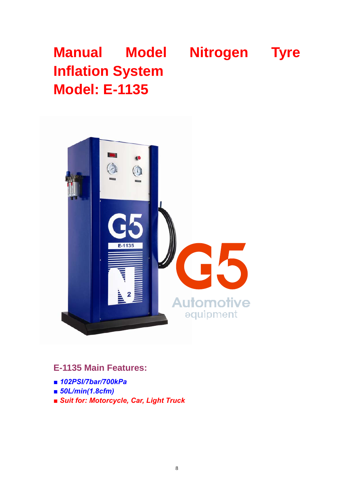# **Manual Model Nitrogen Tyre Inflation System Model: E-1135**



**E-1135 Main Features:** 

- *■ 102PSI/7bar/700kPa*
- *■ 50L/min(1.8cfm)*
- *■ Suit for: Motorcycle, Car, Light Truck*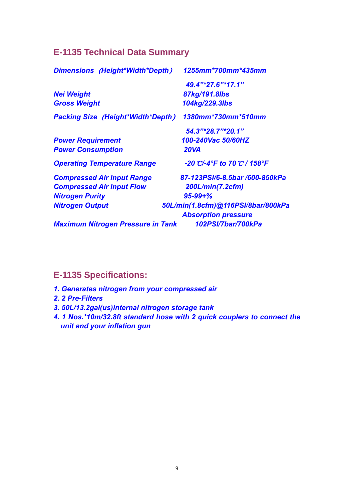### **E-1135 Technical Data Summary**

| <b>Dimensions (Height*Width*Depth)</b>   | 1255mm*700mm*435mm                 |
|------------------------------------------|------------------------------------|
|                                          | 49.4"*27.6"*17.1"                  |
| <b>Nei Weight</b>                        | 87kg/191.8lbs                      |
| <b>Gross Weight</b>                      | 104kg/229.3lbs                     |
| <b>Packing Size (Height*Width*Depth)</b> | 1380mm*730mm*510mm                 |
|                                          | 54.3"*28.7"*20.1"                  |
| <b>Power Requirement</b>                 | 100-240Vac 50/60HZ                 |
| <b>Power Consumption</b>                 | <b>20VA</b>                        |
| <b>Operating Temperature Range</b>       | -20 °C/-4°F to 70 °C / 158°F       |
| <b>Compressed Air Input Range</b>        | 87-123PSI/6-8.5bar /600-850kPa     |
| <b>Compressed Air Input Flow</b>         | 200L/min(7.2cfm)                   |
| <b>Nitrogen Purity</b>                   | $95 - 99 + \%$                     |
| <b>Nitrogen Output</b>                   | 50L/min(1.8cfm)@116PSI/8bar/800kPa |
|                                          | <b>Absorption pressure</b>         |
| <b>Maximum Nitrogen Pressure in Tank</b> | 102PSI/7bar/700kPa                 |

### **E-1135 Specifications:**

- *1. Generates nitrogen from your compressed air*
- *2. 2 Pre-Filters*
- *3. 50L/13.2gal(us)internal nitrogen storage tank*
- *4. 1 Nos.\*10m/32.8ft standard hose with 2 quick couplers to connect the unit and your inflation gun*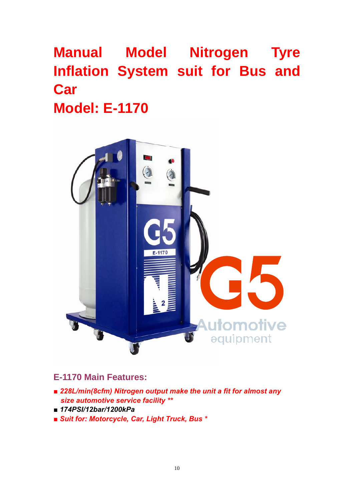# **Manual Model Nitrogen Tyre Inflation System suit for Bus and Car Model: E-1170**



### **E-1170 Main Features:**

- *■ 228L/min(8cfm) Nitrogen output make the unit a fit for almost any size automotive service facility \*\**
- *■ 174PSI/12bar/1200kPa*
- *■ Suit for: Motorcycle, Car, Light Truck, Bus \**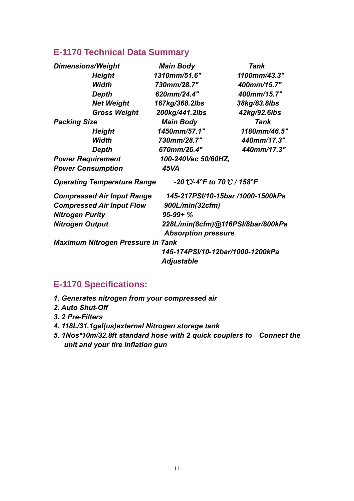### **E-1170 Technical Data Summary**

| <b>Dimensions/Weight</b>                 | <b>Main Body</b>             | <b>Tank</b>                       |
|------------------------------------------|------------------------------|-----------------------------------|
| <b>Height</b>                            | 1310mm/51.6"                 | 1100mm/43.3"                      |
| Width                                    | 730mm/28.7"                  | 400mm/15.7"                       |
| Depth                                    | 620mm/24.4"                  | 400mm/15.7"                       |
| <b>Net Weight</b>                        | 167kg/368.2lbs               | 38kg/83.8lbs                      |
| <b>Gross Weight</b>                      | 200kg/441.2lbs               | 42kg/92.6lbs                      |
| <b>Packing Size</b>                      | <b>Main Body</b>             | Tank                              |
| <b>Height</b>                            | 1450mm/57.1"                 | 1180mm/46.5"                      |
| Width                                    | 730mm/28.7"                  | 440mm/17.3"                       |
| Depth                                    | 670mm/26.4"                  | 440mm/17.3"                       |
| <b>Power Requirement</b>                 | 100-240Vac 50/60HZ,          |                                   |
| <b>Power Consumption</b>                 | 45VA                         |                                   |
| <b>Operating Temperature Range</b>       | -20 °C/-4°F to 70 °C / 158°F |                                   |
| <b>Compressed Air Input Range</b>        |                              | 145-217PSI/10-15bar /1000-1500kPa |
| <b>Compressed Air Input Flow</b>         | 900L/min(32cfm)              |                                   |
| <b>Nitrogen Purity</b>                   | $95-99+%$                    |                                   |
| <b>Nitrogen Output</b>                   | <b>Absorption pressure</b>   | 228L/min(8cfm)@116PSI/8bar/800kPa |
| <b>Maximum Nitrogen Pressure in Tank</b> |                              |                                   |
|                                          | <b>Adjustable</b>            | 145-174PSI/10-12bar/1000-1200kPa  |

### **E-1170 Specifications:**

- *1. Generates nitrogen from your compressed air*
- *2. Auto Shut-Off*
- *3. 2 Pre-Filters*
- *4. 118L/31.1gal(us)external Nitrogen storage tank*
- *5. 1Nos\*10m/32.8ft standard hose with 2 quick couplers to Connect the unit and your tire inflation gun*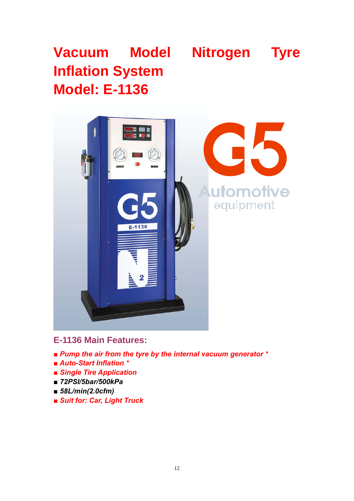# **Vacuum Model Nitrogen Tyre Inflation System Model: E-1136**



#### **E-1136 Main Features:**

- *■ Pump the air from the tyre by the internal vacuum generator \**
- *■ Auto-Start Inflation \**
- *■ Single Tire Application*
- *■ 72PSI/5bar/500kPa*
- *■ 58L/min(2.0cfm)*
- *■ Suit for: Car, Light Truck*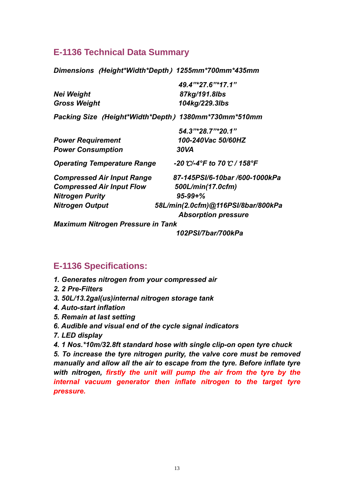#### **E-1136 Technical Data Summary**

*Dimensions*(*Height\*Width\*Depth*)*1255mm\*700mm\*435mm* 

|                                          | 49.4"*27.6"*17.1"                                    |
|------------------------------------------|------------------------------------------------------|
| <b>Nei Weight</b>                        | 87kg/191.8lbs                                        |
| <b>Gross Weight</b>                      | 104kg/229.3lbs                                       |
|                                          | Packing Size (Height*Width*Depth) 1380mm*730mm*510mm |
|                                          | $54.3$ "*28.7"*20.1"                                 |
| <b>Power Requirement</b>                 | 100-240Vac 50/60HZ                                   |
| <b>Power Consumption</b>                 | 30VA                                                 |
| <b>Operating Temperature Range</b>       | -20 °C/-4°F to 70 °C / 158°F                         |
| <b>Compressed Air Input Range</b>        | 87-145PSI/6-10bar /600-1000kPa                       |
| <b>Compressed Air Input Flow</b>         | 500L/min(17.0cfm)                                    |
| <b>Nitrogen Purity</b>                   | $95 - 99 + \%$                                       |
| <b>Nitrogen Output</b>                   | 58L/min(2.0cfm)@116PSI/8bar/800kPa                   |
|                                          | <b>Absorption pressure</b>                           |
| <b>Maximum Nitrogen Pressure in Tank</b> |                                                      |

*102PSI/7bar/700kPa* 

#### **E-1136 Specifications:**

- *1. Generates nitrogen from your compressed air*
- *2. 2 Pre-Filters*
- *3. 50L/13.2gal(us)internal nitrogen storage tank*
- *4. Auto-start inflation*
- *5. Remain at last setting*
- *6. Audible and visual end of the cycle signal indicators*
- *7. LED display*

*4. 1 Nos.\*10m/32.8ft standard hose with single clip-on open tyre chuck* 

*5. To increase the tyre nitrogen purity, the valve core must be removed manually and allow all the air to escape from the tyre. Before inflate tyre with nitrogen, firstly the unit will pump the air from the tyre by the internal vacuum generator then inflate nitrogen to the target tyre pressure.*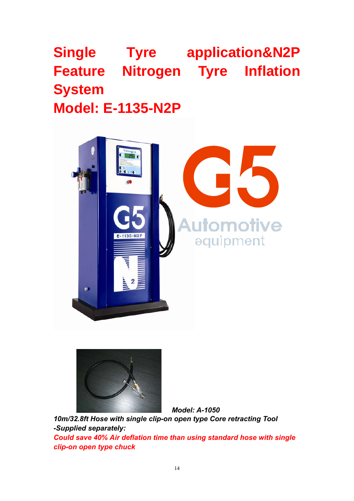# **Single Tyre application&N2P Feature Nitrogen Tyre Inflation System Model: E-1135-N2P**





*10m/32.8ft Hose with single clip-on open type Core retracting Tool -Supplied separately: Could save 40% Air deflation time than using standard hose with single clip-on open type chuck* 

 *Model: A-1050*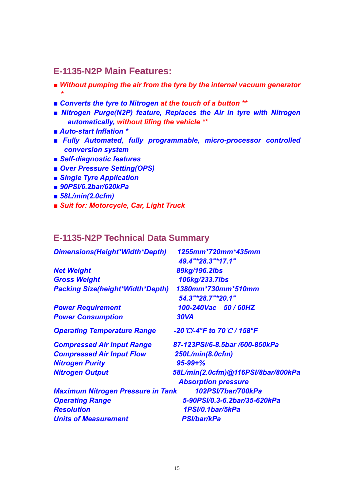#### **E-1135-N2P Main Features:**

- *■ Without pumping the air from the tyre by the internal vacuum generator \**
- *■ Converts the tyre to Nitrogen at the touch of a button \*\**
- *Nitrogen Purge(N2P) feature, Replaces the Air in tyre with Nitrogen automatically, without lifing the vehicle \*\**
- *■ Auto-start Inflation \**
- *■ Fully Automated, fully programmable, micro-processor controlled conversion system*
- *■ Self-diagnostic features*
- *■ Over Pressure Setting(OPS)*
- *■ Single Tyre Application*
- *■ 90PSI/6.2bar/620kPa*
- *■ 58L/min(2.0cfm)*
- *■ Suit for: Motorcycle, Car, Light Truck*

#### **E-1135-N2P Technical Data Summary**

| Dimensions(Height*Width*Depth)           | 1255mm*720mm*435mm<br>49.4"*28.3"*17.1" |
|------------------------------------------|-----------------------------------------|
| <b>Net Weight</b>                        | 89kg/196.2lbs                           |
| <b>Gross Weight</b>                      | 106kg/233.7lbs                          |
| <b>Packing Size(height*Width*Depth)</b>  | 1380mm*730mm*510mm<br>54.3"*28.7"*20.1" |
| <b>Power Requirement</b>                 | 100-240Vac 50 / 60HZ                    |
| <b>Power Consumption</b>                 | <b>30VA</b>                             |
| <b>Operating Temperature Range</b>       | -20 °C/-4°F to 70 °C / 158°F            |
| <b>Compressed Air Input Range</b>        | 87-123PSI/6-8.5bar /600-850kPa          |
| <b>Compressed Air Input Flow</b>         | 250L/min(8.0cfm)                        |
| <b>Nitrogen Purity</b>                   | $95 - 99 + \%$                          |
| <b>Nitrogen Output</b>                   | 58L/min(2.0cfm)@116PSI/8bar/800kPa      |
|                                          | <b>Absorption pressure</b>              |
| <b>Maximum Nitrogen Pressure in Tank</b> | 102PSI/7bar/700kPa                      |
| <b>Operating Range</b>                   | 5-90PSI/0.3-6.2bar/35-620kPa            |
| <b>Resolution</b>                        | 1PSI/0.1bar/5kPa                        |
| <b>Units of Measurement</b>              | <b>PSI/bar/kPa</b>                      |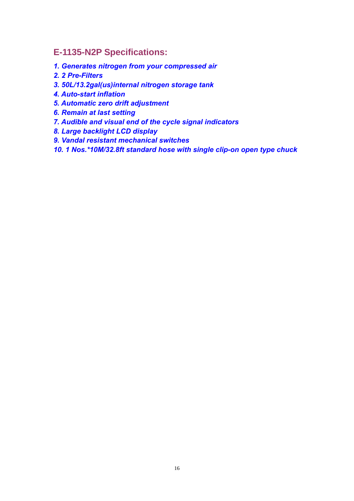### **E-1135-N2P Specifications:**

- *1. Generates nitrogen from your compressed air*
- *2. 2 Pre-Filters*
- *3. 50L/13.2gal(us)internal nitrogen storage tank*
- *4. Auto-start inflation*
- *5. Automatic zero drift adjustment*
- *6. Remain at last setting*
- *7. Audible and visual end of the cycle signal indicators*
- *8. Large backlight LCD display*
- *9. Vandal resistant mechanical switches*

*10. 1 Nos.\*10M/32.8ft standard hose with single clip-on open type chuck*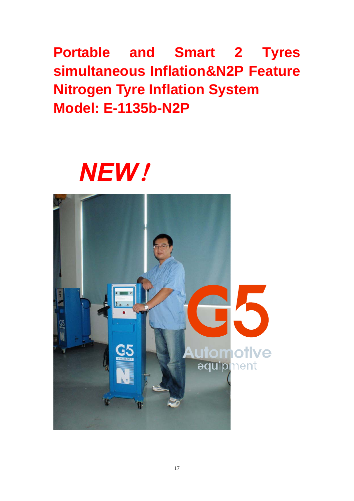**Portable and Smart 2 Tyres simultaneous Inflation&N2P Feature Nitrogen Tyre Inflation System Model: E-1135b-N2P** 

# *NEW*!

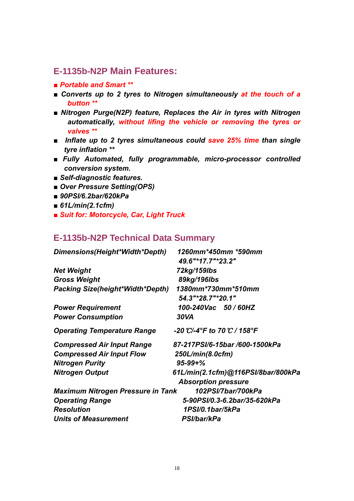#### **E-1135b-N2P Main Features:**

- *■ Portable and Smart \*\**
- *■ Converts up to 2 tyres to Nitrogen simultaneously at the touch of a button \*\**
- *■ Nitrogen Purge(N2P) feature, Replaces the Air in tyres with Nitrogen automatically, without lifing the vehicle or removing the tyres or valves \*\**
- *■ Inflate up to 2 tyres simultaneous could save 25% time than single tyre inflation \*\**
- *■ Fully Automated, fully programmable, micro-processor controlled conversion system.*
- *■ Self-diagnostic features.*
- *■ Over Pressure Setting(OPS)*
- *■ 90PSI/6.2bar/620kPa*
- *■ 61L/min(2.1cfm)*
- *■ Suit for: Motorcycle, Car, Light Truck*

#### **E-1135b-N2P Technical Data Summary**

| Dimensions(Height*Width*Depth)          | 1260mm*450mm *590mm                     |  |
|-----------------------------------------|-----------------------------------------|--|
|                                         | 49.6"*17.7"*23.2"                       |  |
| <b>Net Weight</b>                       | 72kg/159lbs                             |  |
| <b>Gross Weight</b>                     | 89kg/196lbs                             |  |
| <b>Packing Size(height*Width*Depth)</b> | 1380mm*730mm*510mm<br>54.3"*28.7"*20.1" |  |
| <b>Power Requirement</b>                | 100-240Vac 50/60HZ                      |  |
| <b>Power Consumption</b>                | 30VA                                    |  |
| <b>Operating Temperature Range</b>      | -20 °C/-4°F to 70 °C / 158°F            |  |
| <b>Compressed Air Input Range</b>       | 87-217PSI/6-15bar /600-1500kPa          |  |
| <b>Compressed Air Input Flow</b>        | 250L/min(8.0cfm)                        |  |
| <b>Nitrogen Purity</b>                  | $95 - 99 + \%$                          |  |
| <b>Nitrogen Output</b>                  | 61L/min(2.1cfm)@116PSI/8bar/800kPa      |  |
|                                         | <b>Absorption pressure</b>              |  |
| Maximum Nitrogen Pressure in Tank       | 102PSI/7bar/700kPa                      |  |
| <b>Operating Range</b>                  | 5-90PSI/0.3-6.2bar/35-620kPa            |  |
| <b>Resolution</b>                       | 1PSI/0.1bar/5kPa                        |  |
| <b>Units of Measurement</b>             | PSI/bar/kPa                             |  |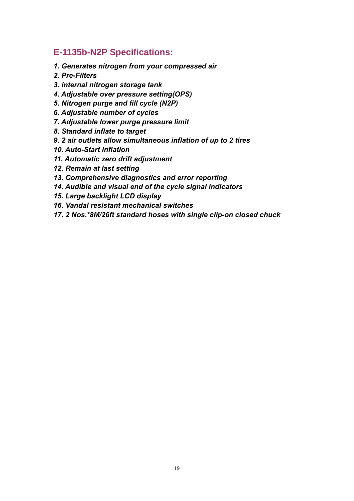### **E-1135b-N2P Specifications:**

- *1. Generates nitrogen from your compressed air*
- *2. Pre-Filters*
- *3. internal nitrogen storage tank*
- *4. Adjustable over pressure setting(OPS)*
- *5. Nitrogen purge and fill cycle (N2P)*
- *6. Adjustable number of cycles*
- *7. Adjustable lower purge pressure limit*
- *8. Standard inflate to target*
- *9. 2 air outlets allow simultaneous inflation of up to 2 tires*
- *10. Auto-Start inflation*
- *11. Automatic zero drift adjustment*
- *12. Remain at last setting*
- *13. Comprehensive diagnostics and error reporting*
- *14. Audible and visual end of the cycle signal indicators*
- *15. Large backlight LCD display*
- *16. Vandal resistant mechanical switches*
- *17. 2 Nos.\*8M/26ft standard hoses with single clip-on closed chuck*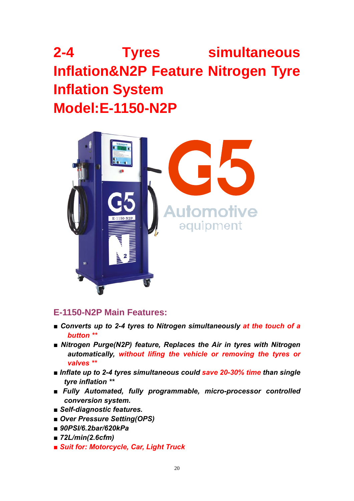# **2-4 Tyres simultaneous Inflation&N2P Feature Nitrogen Tyre Inflation System Model:E-1150-N2P**



#### **E-1150-N2P Main Features:**

- *■ Converts up to 2-4 tyres to Nitrogen simultaneously at the touch of a button \*\**
- *Nitrogen Purge(N2P) feature, Replaces the Air in tyres with Nitrogen automatically, without lifing the vehicle or removing the tyres or valves \*\**
- *■ Inflate up to 2-4 tyres simultaneous could save 20-30% time than single tyre inflation \*\**
- *■ Fully Automated, fully programmable, micro-processor controlled conversion system.*
- *■ Self-diagnostic features.*
- *■ Over Pressure Setting(OPS)*
- *■ 90PSI/6.2bar/620kPa*
- *■ 72L/min(2.6cfm)*
- *■ Suit for: Motorcycle, Car, Light Truck*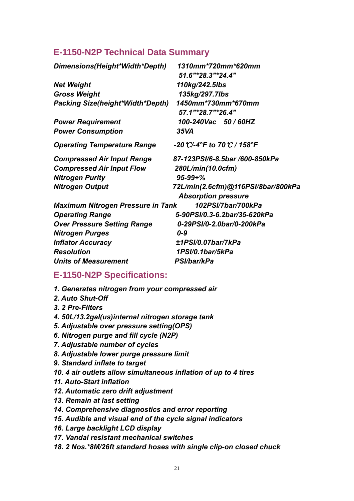#### **E-1150-N2P Technical Data Summary**

| Dimensions(Height*Width*Depth)           | 1310mm*720mm*620mm<br>51.6"*28.3"*24.4"          |
|------------------------------------------|--------------------------------------------------|
| <b>Net Weight</b>                        | 110kg/242.5lbs                                   |
| <b>Gross Weight</b>                      | 135kg/297.7lbs                                   |
| <b>Packing Size(height*Width*Depth)</b>  | 1450mm*730mm*670mm<br>57.1"*28.7"*26.4"          |
| <b>Power Requirement</b>                 | 100-240Vac 50/60HZ                               |
| <b>Power Consumption</b>                 | 35VA                                             |
| <b>Operating Temperature Range</b>       | -20 °C/-4°F to 70 °C / 158°F                     |
| <b>Compressed Air Input Range</b>        | 87-123PSI/6-8.5bar /600-850kPa                   |
| <b>Compressed Air Input Flow</b>         | 280L/min(10.0cfm)                                |
| <b>Nitrogen Purity</b>                   | $95 - 99 + \%$                                   |
| <b>Nitrogen Output</b>                   | 72L/min(2.6cfm)@116PSI/8bar/800kPa               |
|                                          | <b>Absorption pressure</b><br>102PSI/7bar/700kPa |
| <b>Maximum Nitrogen Pressure in Tank</b> |                                                  |
| <b>Operating Range</b>                   | 5-90PSI/0.3-6.2bar/35-620kPa                     |
| <b>Over Pressure Setting Range</b>       | 0-29PSI/0-2.0bar/0-200kPa                        |
| <b>Nitrogen Purges</b>                   | $0 - 9$                                          |
| <b>Inflator Accuracy</b>                 | ±1PSI/0.07bar/7kPa                               |
| <b>Resolution</b>                        | 1PSI/0.1bar/5kPa                                 |
| <b>Units of Measurement</b>              | PSI/bar/kPa                                      |

#### **E-1150-N2P Specifications:**

- *1. Generates nitrogen from your compressed air*
- *2. Auto Shut-Off*
- *3. 2 Pre-Filters*
- *4. 50L/13.2gal(us)internal nitrogen storage tank*
- *5. Adjustable over pressure setting(OPS)*
- *6. Nitrogen purge and fill cycle (N2P)*
- *7. Adjustable number of cycles*
- *8. Adjustable lower purge pressure limit*
- *9. Standard inflate to target*
- *10. 4 air outlets allow simultaneous inflation of up to 4 tires*
- *11. Auto-Start inflation*
- *12. Automatic zero drift adjustment*
- *13. Remain at last setting*
- *14. Comprehensive diagnostics and error reporting*
- *15. Audible and visual end of the cycle signal indicators*
- *16. Large backlight LCD display*
- *17. Vandal resistant mechanical switches*
- *18. 2 Nos.\*8M/26ft standard hoses with single clip-on closed chuck*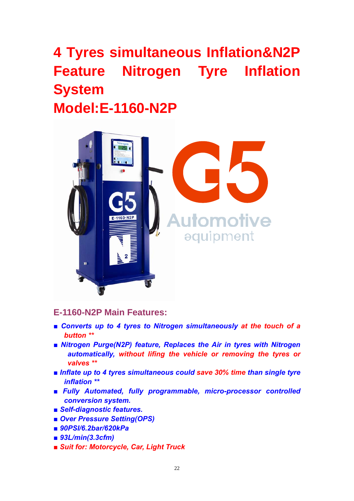# **4 Tyres simultaneous Inflation&N2P Feature Nitrogen Tyre Inflation System Model:E-1160-N2P**



#### **E-1160-N2P Main Features:**

- Converts up to 4 tyres to Nitrogen simultaneously at the touch of a *button \*\**
- *Nitrogen Purge(N2P) feature, Replaces the Air in tyres with Nitrogen automatically, without lifing the vehicle or removing the tyres or valves \*\**
- *■ Inflate up to 4 tyres simultaneous could save 30% time than single tyre inflation \*\**
- *■ Fully Automated, fully programmable, micro-processor controlled conversion system.*
- *■ Self-diagnostic features.*
- *■ Over Pressure Setting(OPS)*
- *■ 90PSI/6.2bar/620kPa*
- *■ 93L/min(3.3cfm)*
- *■ Suit for: Motorcycle, Car, Light Truck*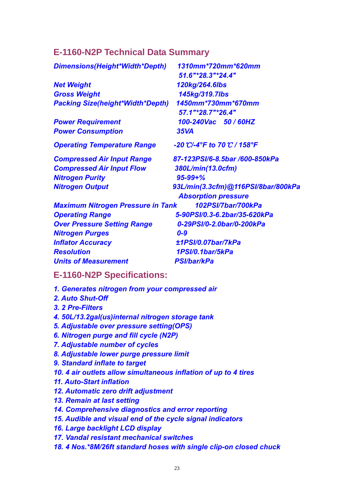#### **E-1160-N2P Technical Data Summary**

| Dimensions(Height*Width*Depth)           | 1310mm*720mm*620mm                 |
|------------------------------------------|------------------------------------|
|                                          | 51.6"*28.3"*24.4"                  |
| <b>Net Weight</b>                        | 120kg/264.6lbs                     |
| <b>Gross Weight</b>                      | 145kg/319.7lbs                     |
| <b>Packing Size(height*Width*Depth)</b>  | 1450mm*730mm*670mm                 |
|                                          | 57.1"*28.7"*26.4"                  |
| <b>Power Requirement</b>                 | 100-240Vac 50 / 60HZ               |
| <b>Power Consumption</b>                 | <b>35VA</b>                        |
| <b>Operating Temperature Range</b>       | -20 °C/-4°F to 70 °C / 158°F       |
| <b>Compressed Air Input Range</b>        | 87-123PSI/6-8.5bar /600-850kPa     |
| <b>Compressed Air Input Flow</b>         | 380L/min(13.0cfm)                  |
| <b>Nitrogen Purity</b>                   | $95 - 99 + \%$                     |
| <b>Nitrogen Output</b>                   | 93L/min(3.3cfm)@116PSI/8bar/800kPa |
|                                          | <b>Absorption pressure</b>         |
| <b>Maximum Nitrogen Pressure in Tank</b> | 102PSI/7bar/700kPa                 |
| <b>Operating Range</b>                   | 5-90PSI/0.3-6.2bar/35-620kPa       |
| <b>Over Pressure Setting Range</b>       | 0-29PSI/0-2.0bar/0-200kPa          |
| <b>Nitrogen Purges</b>                   | $0 - 9$                            |
| <b>Inflator Accuracy</b>                 | ±1PSI/0.07bar/7kPa                 |
| <b>Resolution</b>                        | 1PSI/0.1bar/5kPa                   |
| <b>Units of Measurement</b>              | <b>PSI/bar/kPa</b>                 |
| E_1160_NOD Cnocificatione:               |                                    |

#### **E-1160-N2P Specifications:**

- *1. Generates nitrogen from your compressed air*
- *2. Auto Shut-Off*
- *3. 2 Pre-Filters*
- *4. 50L/13.2gal(us)internal nitrogen storage tank*
- *5. Adjustable over pressure setting(OPS)*
- *6. Nitrogen purge and fill cycle (N2P)*
- *7. Adjustable number of cycles*
- *8. Adjustable lower purge pressure limit*
- *9. Standard inflate to target*
- *10. 4 air outlets allow simultaneous inflation of up to 4 tires*
- *11. Auto-Start inflation*
- *12. Automatic zero drift adjustment*
- *13. Remain at last setting*
- *14. Comprehensive diagnostics and error reporting*
- *15. Audible and visual end of the cycle signal indicators*
- *16. Large backlight LCD display*
- *17. Vandal resistant mechanical switches*
- *18. 4 Nos.\*8M/26ft standard hoses with single clip-on closed chuck*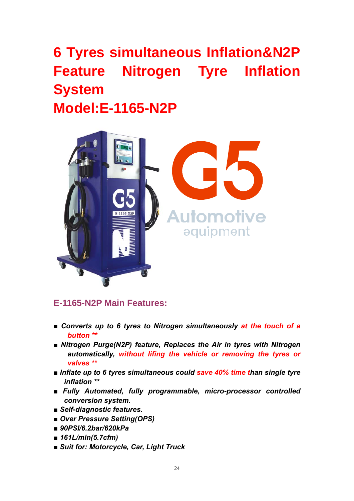# **6 Tyres simultaneous Inflation&N2P Feature Nitrogen Tyre Inflation System Model:E-1165-N2P**



#### **E-1165-N2P Main Features:**

- Converts up to 6 tyres to Nitrogen simultaneously at the touch of a *button \*\**
- *Nitrogen Purge(N2P) feature, Replaces the Air in tyres with Nitrogen automatically, without lifing the vehicle or removing the tyres or valves \*\**
- *■ Inflate up to 6 tyres simultaneous could save 40% time than single tyre inflation \*\**
- *■ Fully Automated, fully programmable, micro-processor controlled conversion system.*
- *■ Self-diagnostic features.*
- *■ Over Pressure Setting(OPS)*
- *■ 90PSI/6.2bar/620kPa*
- *■ 161L/min(5.7cfm)*
- *■ Suit for: Motorcycle, Car, Light Truck*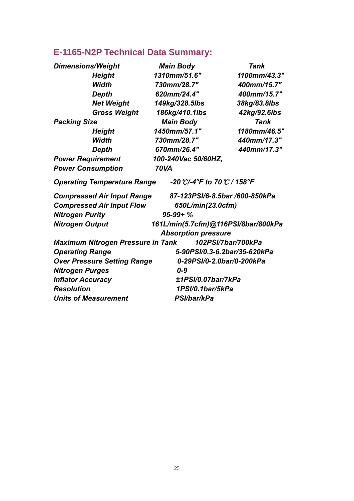### **E-1165-N2P Technical Data Summary:**

| <b>Dimensions/Weight</b> |                                          | <b>Main Body</b>                    | <b>Tank</b>                    |
|--------------------------|------------------------------------------|-------------------------------------|--------------------------------|
|                          | Height                                   | 1310mm/51.6"                        | 1100mm/43.3"                   |
|                          | <b>Width</b>                             | 730mm/28.7"                         | 400mm/15.7"                    |
|                          | <b>Depth</b>                             | 620mm/24.4"                         | 400mm/15.7"                    |
|                          | <b>Net Weight</b>                        | 149kg/328.5lbs                      | 38kg/83.8lbs                   |
|                          | <b>Gross Weight</b>                      | 186kg/410.1lbs                      | 42kg/92.6lbs                   |
| <b>Packing Size</b>      |                                          | <b>Main Body</b>                    | Tank                           |
|                          | <b>Height</b>                            | 1450mm/57.1"                        | 1180mm/46.5"                   |
|                          | Width                                    | 730mm/28.7"                         | 440mm/17.3"                    |
|                          | Depth                                    | 670mm/26.4"                         | 440mm/17.3"                    |
| <b>Power Requirement</b> |                                          | 100-240Vac 50/60HZ,                 |                                |
| <b>Power Consumption</b> |                                          | <b>70VA</b>                         |                                |
|                          | <b>Operating Temperature Range</b>       | -20 °C/-4°F to 70 °C / 158°F        |                                |
|                          | <b>Compressed Air Input Range</b>        |                                     | 87-123PSI/6-8.5bar /600-850kPa |
|                          | <b>Compressed Air Input Flow</b>         | 650L/min(23.0cfm)                   |                                |
| <b>Nitrogen Purity</b>   |                                          | $95 - 99 + \%$                      |                                |
| <b>Nitrogen Output</b>   |                                          | 161L/min(5.7cfm)@116PSI/8bar/800kPa |                                |
|                          |                                          | <b>Absorption pressure</b>          |                                |
|                          | <b>Maximum Nitrogen Pressure in Tank</b> |                                     | 102PSI/7bar/700kPa             |
| <b>Operating Range</b>   |                                          |                                     | 5-90PSI/0.3-6.2bar/35-620kPa   |
|                          | <b>Over Pressure Setting Range</b>       |                                     | 0-29PSI/0-2.0bar/0-200kPa      |
| <b>Nitrogen Purges</b>   |                                          | $0 - 9$                             |                                |
| <b>Inflator Accuracy</b> |                                          | ±1PSI/0.07bar/7kPa                  |                                |
| <b>Resolution</b>        |                                          | 1PSI/0.1bar/5kPa                    |                                |
|                          | <b>Units of Measurement</b>              | <b>PSI/bar/kPa</b>                  |                                |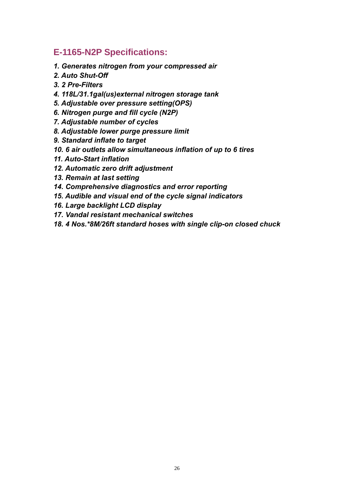#### **E-1165-N2P Specifications:**

- *1. Generates nitrogen from your compressed air*
- *2. Auto Shut-Off*
- *3. 2 Pre-Filters*
- *4. 118L/31.1gal(us)external nitrogen storage tank*
- *5. Adjustable over pressure setting(OPS)*
- *6. Nitrogen purge and fill cycle (N2P)*
- *7. Adjustable number of cycles*
- *8. Adjustable lower purge pressure limit*
- *9. Standard inflate to target*
- *10. 6 air outlets allow simultaneous inflation of up to 6 tires*
- *11. Auto-Start inflation*
- *12. Automatic zero drift adjustment*
- *13. Remain at last setting*
- *14. Comprehensive diagnostics and error reporting*
- *15. Audible and visual end of the cycle signal indicators*
- *16. Large backlight LCD display*
- *17. Vandal resistant mechanical switches*
- *18. 4 Nos.\*8M/26ft standard hoses with single clip-on closed chuck*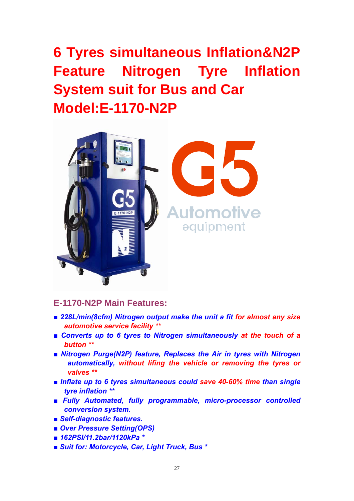**6 Tyres simultaneous Inflation&N2P Feature Nitrogen Tyre Inflation System suit for Bus and Car Model:E-1170-N2P** 



#### **E-1170-N2P Main Features:**

- *■ 228L/min(8cfm) Nitrogen output make the unit a fit for almost any size automotive service facility \*\**
- *■ Converts up to 6 tyres to Nitrogen simultaneously at the touch of a button \*\**
- *Nitrogen Purge(N2P) feature, Replaces the Air in tyres with Nitrogen automatically, without lifing the vehicle or removing the tyres or valves \*\**
- *■ Inflate up to 6 tyres simultaneous could save 40-60% time than single tyre inflation \*\**
- *■ Fully Automated, fully programmable, micro-processor controlled conversion system.*
- *■ Self-diagnostic features.*
- *■ Over Pressure Setting(OPS)*
- *■ 162PSI/11.2bar/1120kPa \**
- *■ Suit for: Motorcycle, Car, Light Truck, Bus \**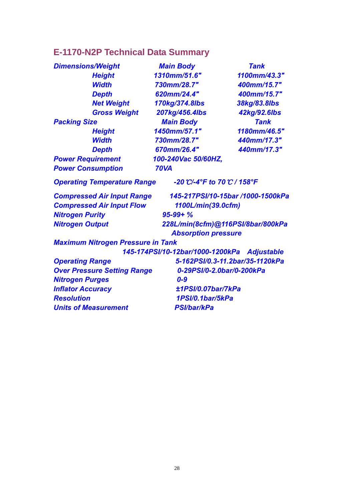### **E-1170-N2P Technical Data Summary**

| <b>Dimensions/Weight</b>                                    | <b>Main Body</b>                 | <b>Tank</b>                       |
|-------------------------------------------------------------|----------------------------------|-----------------------------------|
| <b>Height</b>                                               | 1310mm/51.6"                     | 1100mm/43.3"                      |
| <b>Width</b>                                                | 730mm/28.7"                      | 400mm/15.7"                       |
| <b>Depth</b>                                                | 620mm/24.4"                      | 400mm/15.7"                       |
| <b>Net Weight</b>                                           | 170kg/374.8lbs                   | 38kg/83.8lbs                      |
| <b>Gross Weight</b>                                         | 207kg/456.4lbs                   | 42kg/92.6lbs                      |
| <b>Packing Size</b>                                         | <b>Main Body</b>                 | <b>Tank</b>                       |
| <b>Height</b>                                               | 1450mm/57.1"                     | 1180mm/46.5"                      |
| <b>Width</b>                                                | 730mm/28.7"                      | 440mm/17.3"                       |
| <b>Depth</b>                                                | 670mm/26.4"                      | 440mm/17.3"                       |
| <b>Power Requirement</b>                                    | 100-240Vac 50/60HZ,              |                                   |
| <b>Power Consumption</b>                                    | <b>70VA</b>                      |                                   |
| <b>Operating Temperature Range</b>                          | -20 °C/-4°F to 70 °C / 158°F     |                                   |
| <b>Compressed Air Input Range</b>                           |                                  | 145-217PSI/10-15bar /1000-1500kPa |
| <b>Compressed Air Input Flow</b>                            | 1100L/min(39.0cfm)               |                                   |
| <b>Nitrogen Purity</b>                                      | $95 - 99 + \%$                   |                                   |
| 228L/min(8cfm)@116PSI/8bar/800kPa<br><b>Nitrogen Output</b> |                                  |                                   |
|                                                             | <b>Absorption pressure</b>       |                                   |
| <b>Maximum Nitrogen Pressure in Tank</b>                    |                                  |                                   |
|                                                             | 145-174PSI/10-12bar/1000-1200kPa | <b>Adjustable</b>                 |
| <b>Operating Range</b>                                      |                                  | 5-162PSI/0.3-11.2bar/35-1120kPa   |
| <b>Over Pressure Setting Range</b>                          | 0-29PSI/0-2.0bar/0-200kPa        |                                   |
| <b>Nitrogen Purges</b>                                      | $0 - 9$                          |                                   |
| <b>Inflator Accuracy</b>                                    | ±1PSI/0.07bar/7kPa               |                                   |
| <b>Resolution</b>                                           | 1PSI/0.1bar/5kPa                 |                                   |
| <b>Units of Measurement</b>                                 | <b>PSI/bar/kPa</b>               |                                   |